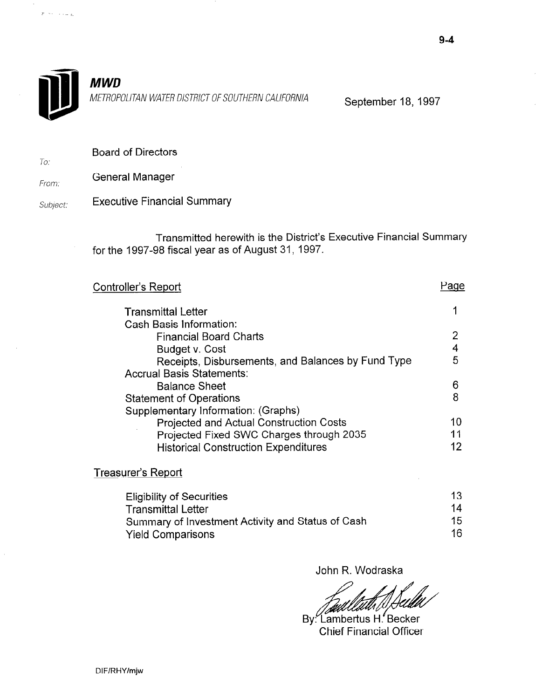

 $\mathcal{P}^{(i)} \vdash \mathcal{P}^{(i)} \rightarrow \mathcal{P}^{(i)} \rightarrow \mathcal{P}^{(i)}$ 

To:

METROPOLITAN WATER DISTRICT OF SOUTHERN CALIFORNIA September 18, 1997

Board of Directors

From: General Manager

Subject: Executive Financial Summary

> Transmitted herewith is the District's Executive Financial Summary for the 1997-98 fiscal year as of August 31, 1997.

| <b>Controller's Report</b>                         | aqe |
|----------------------------------------------------|-----|
| <b>Transmittal Letter</b>                          |     |
| Cash Basis Information:                            |     |
| <b>Financial Board Charts</b>                      | 2   |
| Budget v. Cost                                     |     |
| Receipts, Disbursements, and Balances by Fund Type | 5   |
| <b>Accrual Basis Statements:</b>                   |     |
| <b>Balance Sheet</b>                               | 6   |
| <b>Statement of Operations</b>                     | 8   |
| Supplementary Information: (Graphs)                |     |
| Projected and Actual Construction Costs            | 10  |
| Projected Fixed SWC Charges through 2035           |     |
| <b>Historical Construction Expenditures</b>        | 12  |
| Treasurer's Report                                 |     |

| <b>Eligibility of Securities</b>                  | 13. |
|---------------------------------------------------|-----|
| <b>Transmittal Letter</b>                         | 14  |
| Summary of Investment Activity and Status of Cash | 15  |
| <b>Yield Comparisons</b>                          | 16  |

John R. Wodraska

By: Lambertus H. Becker<br>Chief Financial Officer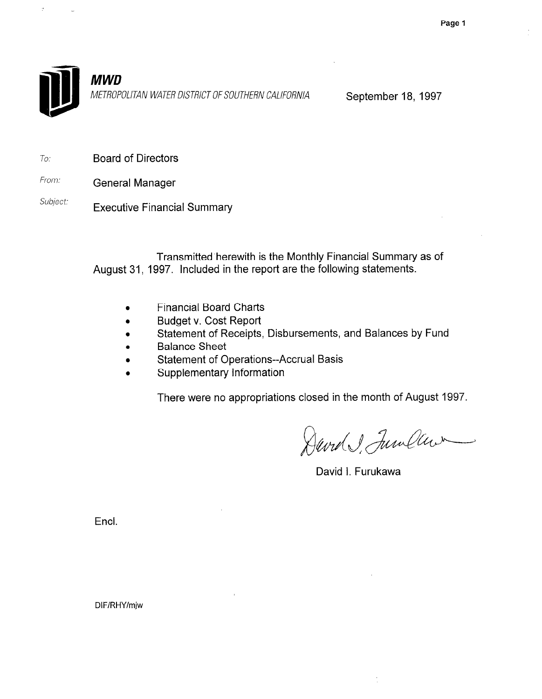

METROPOLITAN WATER DISTRICT OF SOUTHERN CALIFORNIA September 18, 1997

- To: Board of Directors
- From: General Manager
- Subject: Executive Financial Summary

Transmitted'herewith is the Monthly Financial Summary as of August 31, 1997. Included in the report are the following statements.

- Financial Board Charts
- **•** Budget v. Cost Report
- Statement of Receipts, Disbursements, and Balances by Fund
- **•** Balance Sheet
- **•** Statement of Operations--Accrual Basis
- 0 Supplementary Information

There were no appropriations closed in the month of August 1997.

David JunClar

David I. Furukawa

Encl.

DIF/RHY/mjw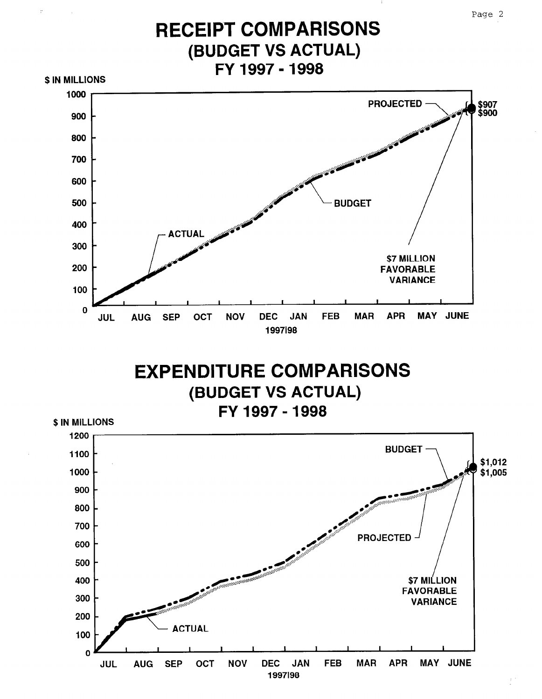Page 2



JUL AUG SEP OCT NOV DEC JAN FEB MAR APR MAY JUNE DEC JAN<br>1997198

 $\mathbf{o}$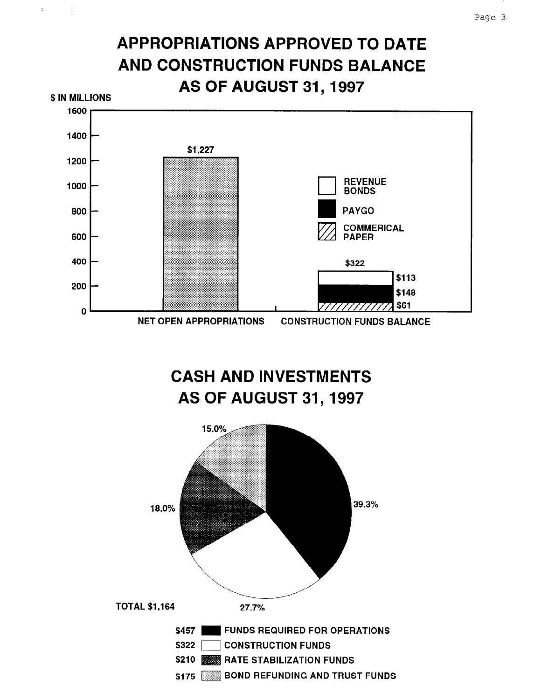# APPROPRIATIONS APPROVED TO DATE AND CONSTRUCTION FUNDS BALANCE AS OF AUGUST 31,1997

 $\frac{1}{2}$ 



CASH AND INVESTMENTS AS OF AUGUST 31,1997

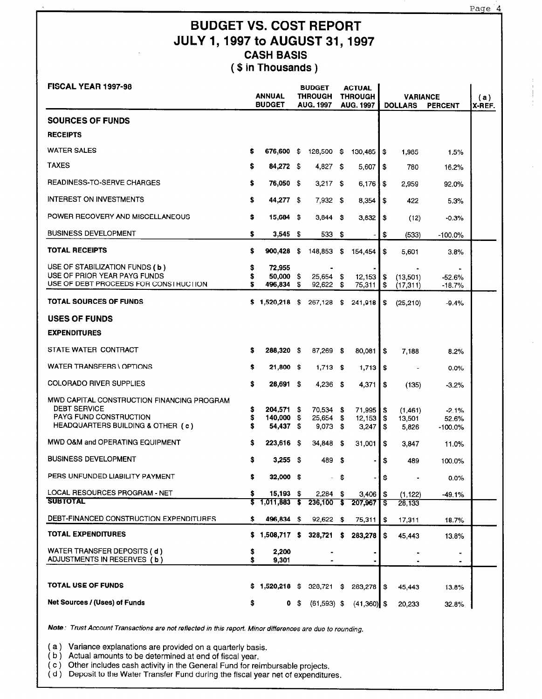Page 4

## BUDGET VS. COST REPORT JULY 1,1997 to AUGUST 31,1997 CASH BASIS ( \$ in Thousands )

| <b>FISCAL YEAR 1997-98</b>                                                                                                              |               | <b>ANNUAL</b><br><b>BUDGET</b>     |      | <b>BUDGET</b><br><b>THROUGH</b><br><b>AUG. 1997</b> |      | <b>ACTUAL</b><br><b>THROUGH</b><br><b>AUG. 1997</b> |                | <b>VARIANCE</b><br><b>DOLLARS</b> | <b>PERCENT</b>                | (a)<br>X-REF. |
|-----------------------------------------------------------------------------------------------------------------------------------------|---------------|------------------------------------|------|-----------------------------------------------------|------|-----------------------------------------------------|----------------|-----------------------------------|-------------------------------|---------------|
| <b>SOURCES OF FUNDS</b>                                                                                                                 |               |                                    |      |                                                     |      |                                                     |                |                                   |                               |               |
| <b>RECEIPTS</b>                                                                                                                         |               |                                    |      |                                                     |      |                                                     |                |                                   |                               |               |
| <b>WATER SALES</b>                                                                                                                      | s             | 676,600 \$                         |      | 128,500 \$                                          |      | 130,485                                             | \$             | 1,985                             | 1.5%                          |               |
| <b>TAXES</b>                                                                                                                            | s             | 84,272 \$                          |      | 4,827 \$                                            |      | 5,607                                               | \$             | 780                               | 16.2%                         |               |
| READINESS-TO-SERVE CHARGES                                                                                                              | \$            | 76,050 \$                          |      | $3,217$ \$                                          |      | 6,176                                               | \$             | 2,959                             | 92.0%                         |               |
| <b>INTEREST ON INVESTMENTS</b>                                                                                                          | \$            | 44,277 \$                          |      | $7.932$ \$                                          |      | 8,354                                               | \$             | 422                               | 5.3%                          |               |
| POWER RECOVERY AND MISCELLANEOUS                                                                                                        | \$            | 15,684 \$                          |      | $3,844$ \$                                          |      | 3,832                                               | \$             | (12)                              | -0.3%                         |               |
| <b>BUSINESS DEVELOPMENT</b>                                                                                                             | \$            | $3,545$ \$                         |      | 533 \$                                              |      |                                                     | \$             | (533)                             | $-100.0%$                     |               |
| TOTAL RECEIPTS                                                                                                                          | \$            | 900,428                            | - \$ | 148,853                                             | -\$  | 154,454                                             | \$             | 5,601                             | 3.8%                          |               |
| USE OF STABILIZATION FUNDS (b)<br>USE OF PRIOR YEAR PAYG FUNDS<br>USE OF DEBT PROCEEDS FOR CONSTRUCTION                                 | \$<br>s<br>S  | 72,955<br>50,000 \$<br>496,834     | \$   | $25,654$ \$<br>92,622                               | S    | 12,153<br>75,311                                    | \$<br>\$       | (13,501)<br>(17, 311)             | -52.6%<br>$-18.7%$            |               |
| <b>TOTAL SOURCES OF FUNDS</b>                                                                                                           |               | \$1,520,218 \$                     |      | 267,128 \$                                          |      | 241,918                                             | \$             | (25, 210)                         | $-9.4%$                       |               |
| <b>USES OF FUNDS</b>                                                                                                                    |               |                                    |      |                                                     |      |                                                     |                |                                   |                               |               |
| <b>EXPENDITURES</b>                                                                                                                     |               |                                    |      |                                                     |      |                                                     |                |                                   |                               |               |
| STATE WATER CONTRACT                                                                                                                    | s             | 288,320 \$                         |      | 87,269 \$                                           |      | 80,081                                              | \$             | 7,188                             | 8.2%                          |               |
| WATER TRANSFERS \ OPTIONS                                                                                                               | \$            | 21,800 \$                          |      | $1,713$ \$                                          |      | 1,713                                               | \$             |                                   | 0.0%                          |               |
| <b>COLORADO RIVER SUPPLIES</b>                                                                                                          | \$            | 28,691 \$                          |      | 4,236 \$                                            |      | 4,371                                               | \$             | (135)                             | $-3.2%$                       |               |
| MWD CAPITAL CONSTRUCTION FINANCING PROGRAM<br><b>DEBT SERVICE</b><br><b>PAYG FUND CONSTRUCTION</b><br>HEADQUARTERS BUILDING & OTHER (c) | \$<br>\$<br>s | 204,571 \$<br>140,000<br>54,437 \$ | \$   | 70,534 \$<br>25,654 \$<br>$9,073$ \$                |      | 71,995<br>12,153<br>3,247                           | \$<br>\$<br>\$ | (1,461)<br>13,501<br>5,826        | $-2.1%$<br>52.6%<br>$-100.0%$ |               |
| MWD O&M and OPERATING EQUIPMENT                                                                                                         | \$            | 223,616 \$                         |      | 34,848 \$                                           |      | 31,001                                              | \$             | 3,847                             | 11.0%                         |               |
| <b>BUSINESS DEVELOPMENT</b>                                                                                                             | s             | 3,255 \$                           |      | 489 -                                               | - \$ |                                                     | \$             | 489                               | 100.0%                        |               |
| PERS UNFUNDED LIABILITY PAYMENT                                                                                                         | 5             | $32,000$ \$                        |      |                                                     | - \$ |                                                     | \$             | $\blacksquare$                    | 0.0%                          |               |
| LOCAL RESOURCES PROGRAM - NET<br><b>SUBTOTAL</b>                                                                                        | s<br>S.       | $15,193$ \$<br>$1,011,883$ \$      |      | $2,284$ \$                                          |      | 3,406                                               | \$             | (1, 122)                          | $-49.1%$                      |               |
| DEBT-FINANCED CONSTRUCTION EXPENDITURES                                                                                                 | \$            | 496,834 \$                         |      | $236,100$ \$<br>$92,622$ \$                         |      | 207,967                                             | `S<br>\$       | 28,133                            |                               |               |
| TOTAL EXPENDITURES                                                                                                                      |               | $$1,508,717$ \$                    |      | 328,721                                             | s.   | 75,311<br>283,278                                   | \$             | 17,311<br>45,443                  | 18.7%<br>13.8%                |               |
| WATER TRANSFER DEPOSITS (d)<br>ADJUSTMENTS IN RESERVES (b)                                                                              | \$<br>\$      | 2,200<br>9,301                     |      | $\blacksquare$                                      |      |                                                     |                | ۰                                 | $\blacksquare$<br>۰           |               |
| <b>TOTAL USE OF FUNDS</b>                                                                                                               |               | \$1,520,218 \$                     |      | 328,721 \$                                          |      | 283,278                                             | \$             | 45,443                            | 13.8%                         |               |
| Net Sources / (Uses) of Funds                                                                                                           | \$            |                                    | 0\$  | $(61,593)$ \$                                       |      | $(41,360)$ \$                                       |                | 20,233                            | 32.8%                         |               |

Note: Trust Account Transactions are not reflected in this report. Minor differences are due to rounding.

( a ) Variance explanations are provided on a quarterly basis.

( b ) Actual amounts to be determined at end of fiscal year.

( c ) Other includes cash activity in the General Fund for reimbursable projects.

( d ) Deposit to the Water Transfer Fund during the fiscal year net of expenditures.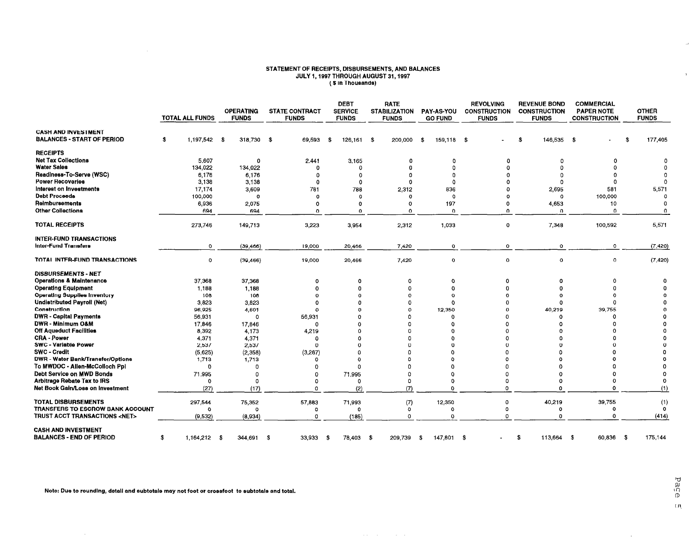#### STATEMENT OF RECEIPTS, DISBURSEMENTS, AND BALANC<br>JULY 1, 1997 THROUGH AUGUST 31, 1997 ( \$ In Thousar

|                                                   |                        |                                  |                                       | <b>DEBT</b>                    | <b>RATE</b>                          |                              | <b>REVOLVING</b>                    | <b>REVENUE BOND</b>                 | <b>COMMERCIAL</b>                        |                              |
|---------------------------------------------------|------------------------|----------------------------------|---------------------------------------|--------------------------------|--------------------------------------|------------------------------|-------------------------------------|-------------------------------------|------------------------------------------|------------------------------|
|                                                   | <b>TOTAL ALL FUNDS</b> | <b>OPERATING</b><br><b>FUNDS</b> | <b>STATE CONTRACT</b><br><b>FUNDS</b> | <b>SERVICE</b><br><b>FUNDS</b> | <b>STABILIZATION</b><br><b>FUNDS</b> | PAY-AS-YOU<br><b>GO FUND</b> | <b>CONSTRUCTION</b><br><b>FUNDS</b> | <b>CONSTRUCTION</b><br><b>FUNDS</b> | <b>PAPER NOTE</b><br><b>CONSTRUCTION</b> | <b>OTHER</b><br><b>FUNDS</b> |
| <b>CASH AND INVESTMENT</b>                        |                        |                                  |                                       |                                |                                      |                              |                                     |                                     |                                          |                              |
| <b>BALANCES - START OF PERIOD</b>                 | 1,197.542 \$<br>- 36   | 318,730 \$                       | 69,593                                | \$<br>126.161                  | -\$<br>200,000                       | - \$<br>159.118 \$           |                                     | 146,535 \$<br>- \$                  |                                          | \$<br>177,405                |
| <b>RECEIPTS</b>                                   |                        |                                  |                                       |                                |                                      |                              |                                     |                                     |                                          |                              |
| <b>Net Tax Collections</b>                        | 5,607                  | $\Omega$                         | 2,441                                 | 3,165                          | $\Omega$                             | $\Omega$                     | $\Omega$                            | $^{\circ}$                          | 0                                        | 0                            |
| <b>Water Sales</b>                                | 134,022                | 134,022                          | $\Omega$                              | $\Omega$                       | $\Omega$                             | 0                            |                                     | $\Omega$                            | $\Omega$                                 |                              |
| Readiness-To-Serve (WSC)                          | 6,176                  | 6,176                            | 0                                     | $\Omega$                       | n                                    | $^{\circ}$                   |                                     |                                     | ∩                                        |                              |
| <b>Power Recoveries</b>                           | 3,138                  | 3,138                            | 0                                     | 0                              | $\Omega$                             | $\Omega$                     |                                     | $\Omega$                            | $\Omega$                                 | $\Omega$                     |
| Interest on Investments                           | 17,174                 | 3,609                            | 781                                   | 788                            | 2,312                                | 836                          |                                     | 2,695                               | 581                                      | 5,571                        |
| <b>Debt Proceeds</b>                              | 100,000                | $\mathbf 0$                      | 0                                     | $\Omega$                       | $\Omega$                             | $\Omega$                     |                                     | $\mathbf 0$                         | 100,000                                  | $\Omega$                     |
| Reimbursements                                    | 6,936                  | 2,075                            | o                                     | 0                              | $\Omega$                             | 197                          | Ω                                   | 4,653                               | 10                                       | -0                           |
| <b>Other Collections</b>                          | 694                    | 694                              | o                                     | $\Omega$                       | $\Omega$                             | $\Omega$                     | $\Omega$                            | $\Omega$                            | $\mathbf 0$                              | $\Omega$                     |
| <b>TOTAL RECEIPTS</b>                             | 273,746                | 149,713                          | 3,223                                 | 3,954                          | 2.312                                | 1,033                        | 0                                   | 7,348                               | 100,592                                  | 5,571                        |
| <b>INTER-FUND TRANSACTIONS</b>                    |                        |                                  |                                       |                                |                                      |                              |                                     |                                     |                                          |                              |
| Inter-Fund Transfers                              | 0                      | (39, 466)                        | 19,000                                | 20,466                         | 7,420                                | $\mathbf 0$                  | 0                                   | 0                                   | $\mathbf 0$                              | (7, 420)                     |
| TOTAL INTER-FUND TRANSACTIONS                     | 0                      | (39, 466)                        | 19,000                                | 20,466                         | 7,420                                | $\mathbf 0$                  | 0                                   | 0                                   | $\mathbf 0$                              | (7, 420)                     |
| <b>DISBURSEMENTS - NET</b>                        |                        |                                  |                                       |                                |                                      |                              |                                     |                                     |                                          |                              |
| <b>Operations &amp; Maintenance</b>               | 37,368                 | 37,368                           | Ω                                     | 0                              | $\Omega$                             | $\Omega$                     | ο                                   | Ω                                   | Ω                                        |                              |
| <b>Operating Equipment</b>                        | 1,188                  | 1,188                            | $\Omega$                              | Ω                              | $\Omega$                             | $\Omega$                     |                                     |                                     | $\Omega$                                 |                              |
| <b>Operating Supplies Inventory</b>               | 108                    | 108                              | o                                     | $\Omega$                       |                                      |                              |                                     |                                     |                                          |                              |
| <b>Undistributed Payroll (Net)</b>                | 3.823                  | 3,823                            | o                                     |                                |                                      | $\Omega$                     |                                     |                                     |                                          |                              |
| Construction                                      | 96,925                 | 4,601                            |                                       |                                | Ω                                    | 12,350                       |                                     | 40,219                              | 39,755                                   |                              |
| <b>DWR</b> - Capital Payments                     | 56,931                 | $\Omega$                         | 56,931                                | n                              | Ω                                    | $\Omega$                     |                                     | Ω                                   | -C                                       |                              |
| DWR - Minimum O&M                                 | 17,846                 | 17,846                           | $\Omega$                              | $\Omega$                       | n                                    | $\Omega$                     |                                     | Λ                                   |                                          |                              |
| <b>Off Aqueduct Facilities</b>                    | 8,392                  | 4,173                            | 4,219                                 |                                |                                      |                              |                                     |                                     |                                          |                              |
| <b>CRA - Power</b><br><b>SWC - Variable Power</b> | 4,371<br>2,537         | 4,371                            | $\mathbf 0$<br>o                      |                                |                                      |                              |                                     |                                     |                                          |                              |
| <b>SWC - Credit</b>                               | (5,625)                | 2,537<br>(2,358)                 | (3,267)                               |                                |                                      |                              |                                     |                                     |                                          |                              |
| <b>DWR - Water Bank/Transfer/Options</b>          | 1,713                  | 1,713                            | n                                     |                                |                                      | O                            |                                     |                                     |                                          |                              |
| To MWDOC - Allen-McColloch Ppl                    | $\Omega$               | $\Omega$                         | n                                     |                                |                                      | $\Omega$                     |                                     |                                     |                                          |                              |
| Debt Service on MWD Bonds                         | 71,995                 | 0                                | 0                                     | 71,995                         | Ω                                    | $\Omega$                     |                                     |                                     |                                          |                              |
| Arbitrage Rebate Tax to IRS                       | $\circ$                | $\circ$                          | $\Omega$                              | $\mathbf 0$                    | 0                                    | 0                            | $\Omega$                            | o                                   | 0                                        | 0                            |
| Net Book Gain/Loss on Investment                  | (27)                   | (17)                             | $\Omega$                              | (2)                            | (7)                                  | $\Omega$                     | $\Omega$                            | Ō                                   | $\Omega$                                 | (1)                          |
| <b>TOTAL DISBURSEMENTS</b>                        | 297,544                | 75,352                           | 57,883                                | 71,993                         | (7)                                  | 12,350                       | $\Omega$                            | 40,219                              | 39,755                                   | (1)                          |
| TRANSFERS TO ESCROW BANK ACCOUNT                  |                        |                                  | o                                     | $\Omega$                       | $\mathbf 0$                          | $\Omega$                     | $\Omega$                            | O                                   | $\Omega$                                 | $^{\circ}$                   |
| TRUST ACCT TRANSACTIONS <net></net>               | (9,532)                | (8,934)                          | $\Omega$                              | (185)                          | $\Omega$                             | $\Omega$                     | $\Omega$                            | O                                   | $\Omega$                                 | (414)                        |
| <b>CASH AND INVESTMENT</b>                        |                        |                                  |                                       |                                |                                      |                              |                                     |                                     |                                          |                              |
| <b>BALANCES - END OF PERIOD</b>                   | $1,164,212$ \$<br>\$   | 344.691                          | 33,933<br>-\$                         | 78,403 \$<br>- \$              | 209,739                              | 147.801 \$<br>- \$           |                                     | \$<br>113,664 \$                    | 60,836<br>- \$                           | 175,144                      |

 $\mathcal{L}(\mathcal{L}(\mathcal{L}(\mathcal{L}(\mathcal{L}(\mathcal{L}(\mathcal{L}(\mathcal{L}(\mathcal{L}(\mathcal{L}(\mathcal{L}(\mathcal{L}(\mathcal{L}(\mathcal{L}(\mathcal{L}(\mathcal{L}(\mathcal{L}(\mathcal{L}(\mathcal{L}(\mathcal{L}(\mathcal{L}(\mathcal{L}(\mathcal{L}(\mathcal{L}(\mathcal{L}(\mathcal{L}(\mathcal{L}(\mathcal{L}(\mathcal{L}(\mathcal{L}(\mathcal{L}(\mathcal{L}(\mathcal{L}(\mathcal{L}(\mathcal{L}(\mathcal{L}(\mathcal{$ 

Note: Due to roundlng, detail and subtotals may not foot or crossfoot to subtotals and total.

 $\mathcal{A}^{\mathcal{A}}$ 

 $\sim 10^7$ 

Page  $\overline{u}$ 

 $\mathcal{A}^{\pm}$ 

 $\bar{\mathcal{A}}$ 

 $\mathbf{v}$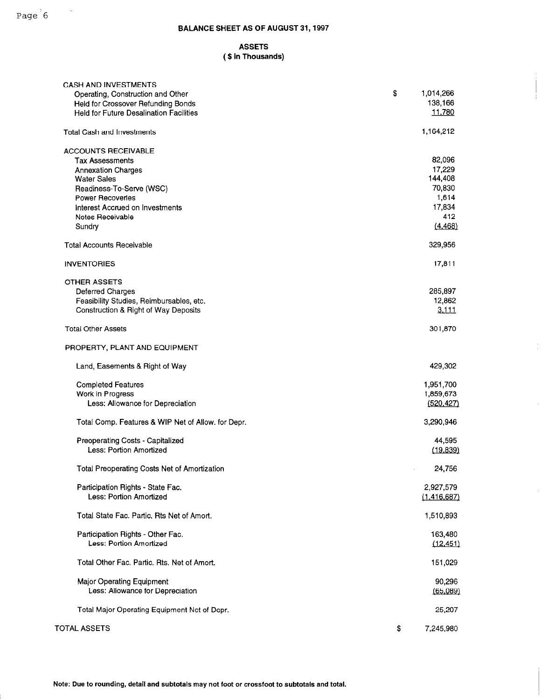### ASSETS ( \$ in Thousands)

| <b>CASH AND INVESTMENTS</b>                         |                 |
|-----------------------------------------------------|-----------------|
| Operating, Construction and Other                   | \$<br>1,014,266 |
| Held for Crossover Refunding Bonds                  | 138,166         |
| <b>Held for Future Desalination Facilities</b>      | 11,780          |
| <b>Total Cash and Investments</b>                   | 1,164,212       |
|                                                     |                 |
| <b>ACCOUNTS RECEIVABLE</b>                          |                 |
| <b>Tax Assessments</b>                              | 82,096          |
| <b>Annexation Charges</b>                           | 17,229          |
| <b>Water Sales</b>                                  | 144,408         |
| Readiness-To-Serve (WSC)                            | 70,830          |
| <b>Power Recoveries</b>                             | 1,614           |
| Interest Accrued on Investments                     | 17,834          |
| Notes Receivable                                    | 412             |
| Sundry                                              | (4.468)         |
| <b>Total Accounts Receivable</b>                    | 329,956         |
| <b>INVENTORIES</b>                                  | 17,811          |
| <b>OTHER ASSETS</b>                                 |                 |
| <b>Deferred Charges</b>                             | 285,897         |
| Feasibility Studies, Reimbursables, etc.            | 12,862          |
| Construction & Right of Way Deposits                | 3,111           |
|                                                     |                 |
| <b>Total Other Assets</b>                           | 301,870         |
| PROPERTY, PLANT AND EQUIPMENT                       |                 |
| Land, Easements & Right of Way                      | 429,302         |
| <b>Completed Features</b>                           | 1,951,700       |
| Work in Progress                                    | 1,859,673       |
| Less: Allowance for Depreciation                    | (520, 427)      |
|                                                     |                 |
| Total Comp. Features & WIP Net of Allow. for Depr.  | 3,290,946       |
| Preoperating Costs - Capitalized                    | 44,595          |
| Less: Portion Amortized                             | (19, 839)       |
|                                                     |                 |
| <b>Total Preoperating Costs Net of Amortization</b> | 24,756          |
| Participation Rights - State Fac.                   | 2,927,579       |
| Less: Portion Amortized                             | (1,416,687)     |
|                                                     |                 |
| Total State Fac. Partic. Rts Net of Amort.          | 1,510,893       |
| Participation Rights - Other Fac.                   | 163,480         |
| Less: Portion Amortized                             | (12, 451)       |
|                                                     |                 |
| Total Other Fac. Partic. Rts. Net of Amort.         | 151,029         |
| <b>Major Operating Equipment</b>                    | 90,296          |
| Less: Allowance for Depreciation                    | (65,089)        |
|                                                     |                 |
| Total Major Operating Equipment Net of Depr.        | 25,207          |
| <b>TOTAL ASSETS</b>                                 | \$<br>7,245,980 |

 $\hat{\boldsymbol{\theta}}$ 

 $\cdot$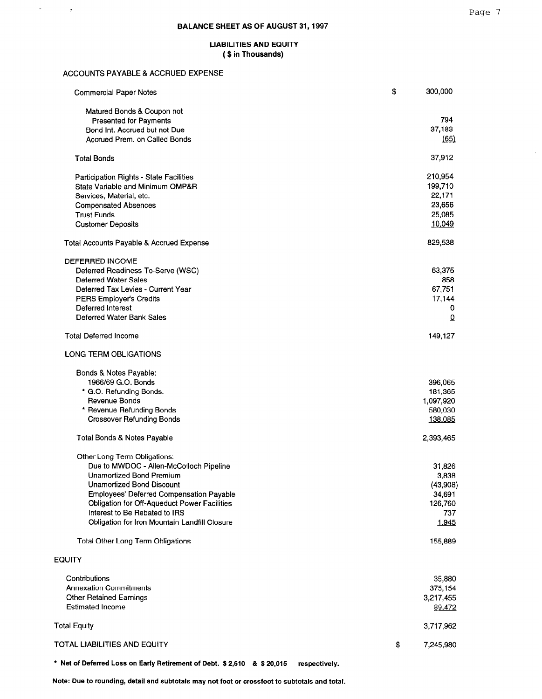$\frac{1}{\alpha}$ 

#### LIABILITIES AND EQUITY ( \$ in Thousands)

#### ACCOUNTS PAYABLE & ACCRUED EXPENSE

 $\hat{u}_\mathrm{eff}$ 

 $\sim$   $\sigma$ 

| <b>Commercial Paper Notes</b>                       | \$<br>300,000   |
|-----------------------------------------------------|-----------------|
| Matured Bonds & Coupon not                          |                 |
| <b>Presented for Payments</b>                       | 794             |
| Bond Int. Accrued but not Due                       | 37,183          |
| Accrued Prem. on Called Bonds                       | (65)            |
| <b>Total Bonds</b>                                  | 37,912          |
| <b>Participation Rights - State Facilities</b>      | 210,954         |
| State Variable and Minimum OMP&R                    | 199,710         |
| Services, Material, etc.                            | 22,171          |
| <b>Compensated Absences</b>                         | 23,656          |
| <b>Trust Funds</b>                                  | 25,085          |
| <b>Customer Deposits</b>                            | 10.049          |
| Total Accounts Payable & Accrued Expense            | 829,538         |
| <b>DEFERRED INCOME</b>                              |                 |
| Deferred Readiness-To-Serve (WSC)                   | 63,375          |
| <b>Deferred Water Sales</b>                         | 858             |
| Deferred Tax Levies - Current Year                  | 67,751          |
| PERS Employer's Credits                             | 17,144          |
| Deferred Interest                                   | 0               |
| Deferred Water Bank Sales                           | $\Omega$        |
| <b>Total Deferred Income</b>                        | 149,127         |
| LONG TERM OBLIGATIONS                               |                 |
| Bonds & Notes Payable:                              |                 |
| 1966/69 G.O. Bonds                                  | 396,065         |
| * G.O. Refunding Bonds.                             | 181,365         |
| Revenue Bonds                                       | 1,097,920       |
| * Revenue Refunding Bonds                           | 580,030         |
| <b>Crossover Refunding Bonds</b>                    | 138,085         |
|                                                     |                 |
| Total Bonds & Notes Payable                         | 2,393,465       |
| Other Long Term Obligations:                        |                 |
| Due to MWDOC - Allen-McColloch Pipeline             | 31,826          |
| <b>Unamortized Bond Premium</b>                     | 3,838           |
| <b>Unamortized Bond Discount</b>                    | (43,908)        |
| Employees' Deferred Compensation Payable            | 34,691          |
| <b>Obligation for Off-Aqueduct Power Facilities</b> | 126,760         |
| Interest to Be Rebated to IRS                       | 737             |
| Obligation for Iron Mountain Landfill Closure       | 1.945           |
| Total Other Long Term Obligations                   | 155,889         |
| <b>EQUITY</b>                                       |                 |
|                                                     |                 |
| Contributions                                       | 35,880          |
| <b>Annexation Commitments</b>                       | 375,154         |
| <b>Other Retained Earnings</b>                      | 3,217,455       |
| <b>Estimated Income</b>                             | 89,472          |
| <b>Total Equity</b>                                 | 3,717,962       |
| TOTAL LIABILITIES AND EQUITY                        |                 |
|                                                     | \$<br>7,245,980 |
|                                                     |                 |

\* Net of Deferred Loss on Early Retirement of Debt. \$2,610 & \$20,015 respectively.

Note: Due to rounding, detail and subtotals may not foot or crossfoot to subtotals and total.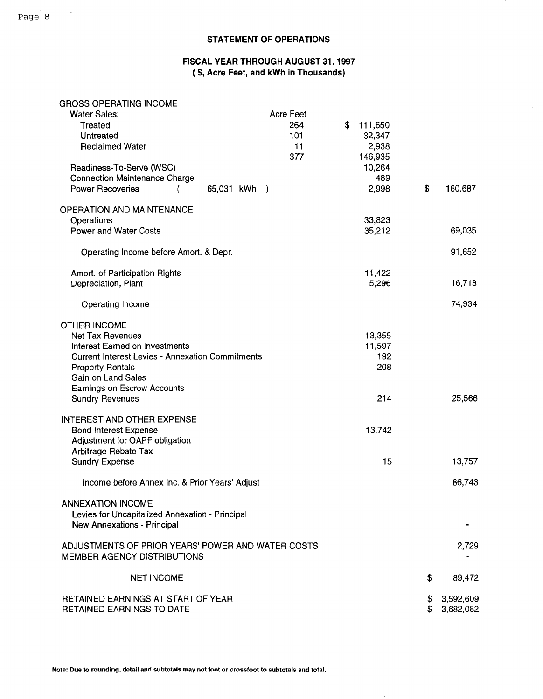## STATEMENT OF OPERATIONS

### FISCAL YEAR THROUGH AUGUST 31,1997 (\$, Acre Feet, and kWh in Thousands)

 $\hat{\mathbf{v}}$ 

 $\mathcal{L}$ 

## GROSS OPERATING INCOME

| <b>Water Sales:</b>                                     | <b>Acre Feet</b> |               |                 |
|---------------------------------------------------------|------------------|---------------|-----------------|
| Treated                                                 | 264              | \$<br>111,650 |                 |
| Untreated                                               | 101              | 32,347        |                 |
| <b>Reclaimed Water</b>                                  | 11               | 2,938         |                 |
|                                                         | 377              | 146,935       |                 |
| Readiness-To-Serve (WSC)                                |                  | 10,264        |                 |
| <b>Connection Maintenance Charge</b>                    |                  | 489           |                 |
| <b>Power Recoveries</b><br>65,031 kWh )                 |                  | 2,998         | \$<br>160,687   |
|                                                         |                  |               |                 |
| <b>OPERATION AND MAINTENANCE</b>                        |                  |               |                 |
| Operations                                              |                  | 33,823        |                 |
| <b>Power and Water Costs</b>                            |                  |               |                 |
|                                                         |                  | 35,212        | 69,035          |
|                                                         |                  |               |                 |
| Operating Income before Amort. & Depr.                  |                  |               | 91,652          |
|                                                         |                  |               |                 |
| Amort. of Participation Rights                          |                  | 11,422        |                 |
| Depreciation, Plant                                     |                  | 5,296         | 16,718          |
|                                                         |                  |               |                 |
| Operating Income                                        |                  |               | 74,934          |
|                                                         |                  |               |                 |
| <b>OTHER INCOME</b>                                     |                  |               |                 |
| <b>Net Tax Revenues</b>                                 |                  | 13,355        |                 |
| Interest Earned on Investments                          |                  | 11,597        |                 |
| <b>Current Interest Levies - Annexation Commitments</b> |                  | 192           |                 |
| <b>Property Rentals</b>                                 |                  | 208           |                 |
| <b>Gain on Land Sales</b>                               |                  |               |                 |
|                                                         |                  |               |                 |
| Earnings on Escrow Accounts                             |                  |               |                 |
| <b>Sundry Revenues</b>                                  |                  | 214           | 25,566          |
|                                                         |                  |               |                 |
| <b>INTEREST AND OTHER EXPENSE</b>                       |                  |               |                 |
| <b>Bond Interest Expense</b>                            |                  | 13,742        |                 |
| Adjustment for OAPF obligation                          |                  |               |                 |
| <b>Arbitrage Rebate Tax</b>                             |                  |               |                 |
| <b>Sundry Expense</b>                                   |                  | 15            | 13,757          |
|                                                         |                  |               |                 |
| Income before Annex Inc. & Prior Years' Adjust          |                  |               | 86,743          |
|                                                         |                  |               |                 |
| <b>ANNEXATION INCOME</b>                                |                  |               |                 |
| Levies for Uncapitalized Annexation - Principal         |                  |               |                 |
| <b>New Annexations - Principal</b>                      |                  |               |                 |
|                                                         |                  |               |                 |
| ADJUSTMENTS OF PRIOR YEARS' POWER AND WATER COSTS       |                  |               | 2,729           |
|                                                         |                  |               |                 |
| MEMBER AGENCY DISTRIBUTIONS                             |                  |               |                 |
|                                                         |                  |               |                 |
| <b>NET INCOME</b>                                       |                  |               | \$<br>89,472    |
|                                                         |                  |               |                 |
| RETAINED EARNINGS AT START OF YEAR                      |                  |               | \$<br>3,592,609 |
| <b>RETAINED EARNINGS TO DATE</b>                        |                  |               | \$<br>3,682,082 |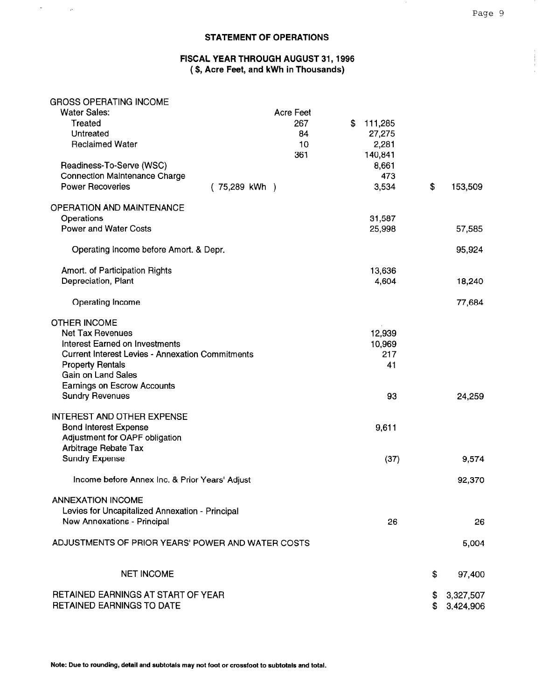#### STATEMENT OF OPERATIONS

### FISCAL YEAR THROUGH AUGUST 31,1996 (\$, Acre Feet, and kWh in Thousands)

#### GROSS OPERATING INCOME

 $\omega_{\rm{max}}$ 

 $\frac{1}{\sqrt{2}}$ 

| <b>Water Sales:</b>                                     | <b>Acre Feet</b> |               |                 |
|---------------------------------------------------------|------------------|---------------|-----------------|
| Treated                                                 | 267              | \$<br>111,285 |                 |
| Untreated                                               | 84               | 27,275        |                 |
|                                                         |                  |               |                 |
| <b>Reclaimed Water</b>                                  | 10               | 2,281         |                 |
|                                                         | 361              | 140,841       |                 |
| Readiness-To-Serve (WSC)                                |                  | 8,661         |                 |
| <b>Connection Maintenance Charge</b>                    |                  | 473           |                 |
| <b>Power Recoveries</b><br>(75,289 kWh)                 |                  | 3,534         | \$<br>153,509   |
| <b>OPERATION AND MAINTENANCE</b>                        |                  |               |                 |
| Operations                                              |                  | 31,587        |                 |
| <b>Power and Water Costs</b>                            |                  | 25,998        | 57,585          |
|                                                         |                  |               |                 |
| Operating Income before Amort. & Depr.                  |                  |               | 95,924          |
| Amort. of Participation Rights                          |                  | 13,636        |                 |
| Depreciation, Plant                                     |                  | 4,604         | 18,240          |
|                                                         |                  |               |                 |
| Operating Income                                        |                  |               | 77,684          |
| <b>OTHER INCOME</b>                                     |                  |               |                 |
| <b>Net Tax Revenues</b>                                 |                  | 12,939        |                 |
| <b>Interest Earned on Investments</b>                   |                  | 10,969        |                 |
| <b>Current Interest Levies - Annexation Commitments</b> |                  | 217           |                 |
| <b>Property Rentals</b>                                 |                  | 41            |                 |
| <b>Gain on Land Sales</b>                               |                  |               |                 |
| <b>Earnings on Escrow Accounts</b>                      |                  |               |                 |
| <b>Sundry Revenues</b>                                  |                  | 93            | 24,259          |
|                                                         |                  |               |                 |
| <b>INTEREST AND OTHER EXPENSE</b>                       |                  |               |                 |
| <b>Bond Interest Expense</b>                            |                  | 9,611         |                 |
| Adjustment for OAPF obligation                          |                  |               |                 |
| Arbitrage Rebate Tax                                    |                  |               |                 |
| <b>Sundry Expense</b>                                   |                  | (37)          | 9,574           |
| Income before Annex Inc. & Prior Years' Adjust          |                  |               | 92,370          |
| <b>ANNEXATION INCOME</b>                                |                  |               |                 |
| Levies for Uncapitalized Annexation - Principal         |                  |               |                 |
|                                                         |                  |               |                 |
| New Annexations - Principal                             |                  | 26            | 26              |
| ADJUSTMENTS OF PRIOR YEARS' POWER AND WATER COSTS       |                  |               | 5,004           |
| <b>NET INCOME</b>                                       |                  |               | \$<br>97,400    |
| RETAINED EARNINGS AT START OF YEAR                      |                  |               | \$<br>3,327,507 |
| RETAINED EARNINGS TO DATE                               |                  |               |                 |
|                                                         |                  |               | 3,424,906       |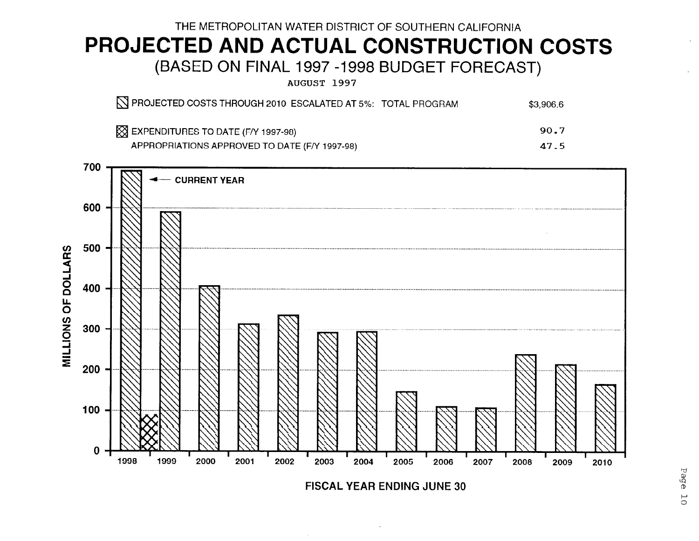## THE METROPOLITAN WATER DISTRICT OF SOUTHERN CALIFORNIA PROJECTED AND ACTUAL CONSTRUCTION COSTS (BASED ON FINAL 1997 -1998 BUDGET FORECAST)

AUGUST 1997

| N PROJECTED COSTS THROUGH 2010 ESCALATED AT 5%: TOTAL PROGRAM | \$3,906.6 |
|---------------------------------------------------------------|-----------|
| $\boxtimes$ EXPENDITURES TO DATE (F/Y 1997-98)                | 90.7      |
| APPROPRIATIONS APPROVED TO DATE (F/Y 1997-98)                 | 47.5      |



FISCAL YEAR ENDING JUNE 30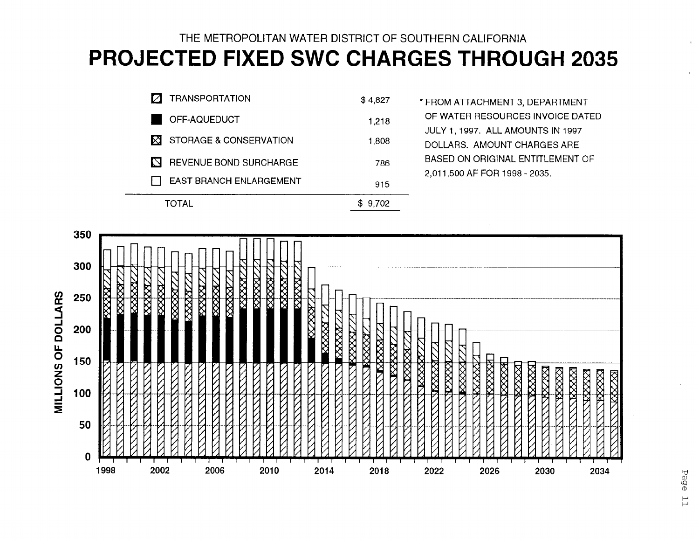## THE METROPOLITAN WATER DISTRICT OF SOUTHERN CALIFORNIA PROJECTED FIXED SWC CHARGES THROUGH 2035

|    | )TAL                          | 9.702   |
|----|-------------------------------|---------|
|    | EAST BRANCH ENLARGEMENT       | 915     |
| М  | <b>REVENUE BOND SURCHARGE</b> | 786     |
| ÞЗ | STORAGE & CONSERVATION        | 1,808   |
|    | OFF-AQUEDUCT                  | 1.218   |
|    | <b>TRANSPORTATION</b>         | \$4,827 |

\* FROM ATTACHMENT 3, DEPARTMENT OF WATER RESOURCES INVOICE DATED JULY 1,1997. ALL AMOUNTS IN 1997 DOLLARS. AMOUNT CHARGES ARE BASED ON ORIGINAL ENTITLEMENT OF 2,011,500 AF FOR 1998 - 2035.

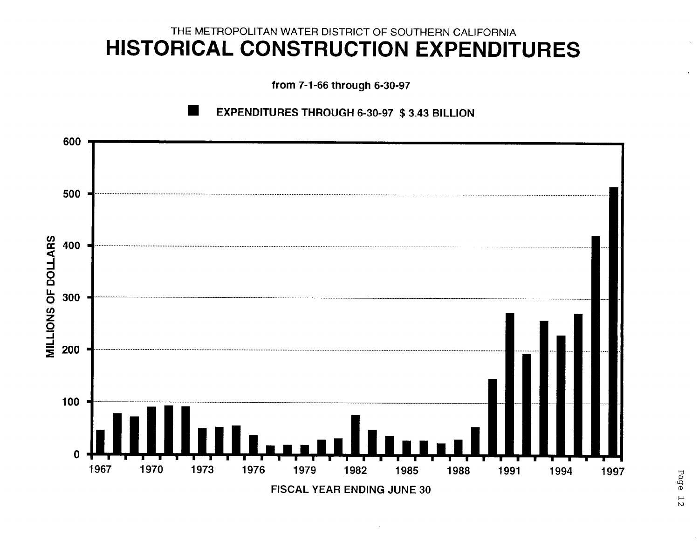## THE METROPOLITAN WATER DISTRICT OF SOUTHERN CALIFORNIA HISTORICAL CONSTRUCTION EXPENDITURES

from 7-1-66 through 6-30-97



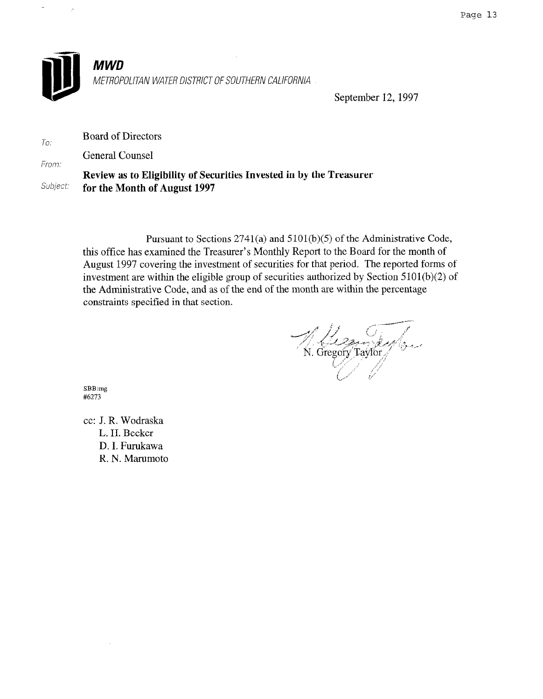

To:

MWD METROPOLITAN WATER DISTRICT OF SOUTHERN CALIFORNIA

September 12, 1997

Board of Directors

General Counsel

From: Review as to Eligibility of Securities Invested in by the Treasurer Subject: for the Month of August 1997

> Pursuant to Sections 2741(a) and 5101(b)(5) of the Administrative Code, this office has examined the Treasurer's Monthly Report to the Board for the month of August 1997 covering the investment of securities for that period. The reported forms of investment are within the eligible group of securities authorized by Section 5101(b)(2) of the Administrative Code, and as of the end of the month are within the percentage constraints specified in that section.

N. Gregory Taylor

SBB:mg<br>#6273

cc: J. R. Wodraska J. K. WOULAS L. H. Becker D. I. Furukawa<br>R. N. Marumoto

 $\hat{\boldsymbol{\theta}}$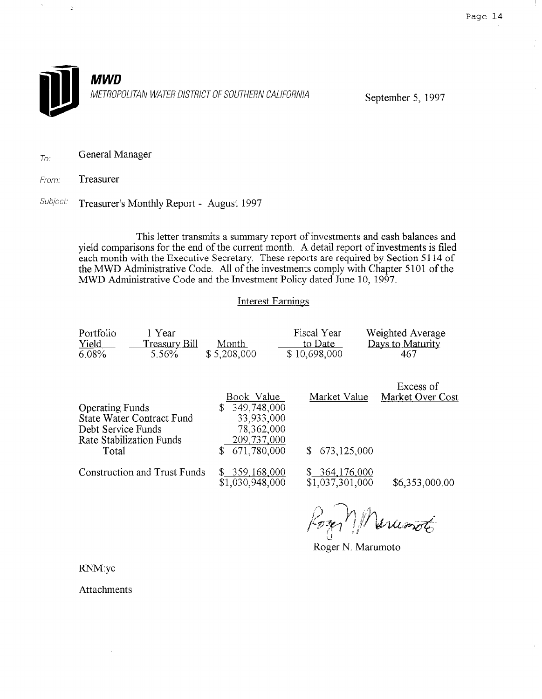$\mathbb{R}$ 



To: General Manager

From: Treasurer

 $\ddot{\zeta}$ 

Subject: Treasurer's Monthly Report - August 1997

This letter transmits a summary report of investments and cash balances and yield comparisons for the end of the current month. A detail report of investments is filed each month with the Executive Secretary. These reports are required by Section 5 114 of the MWD Administrative Code. All of the investments comply with Chapter 5101 of the MWD Administrative Code and the Investment Policy dated June 10, 1997.

## Interest Earnings

| Portfolio | 1 Year        |             | Fiscal Year  | Weighted Average |
|-----------|---------------|-------------|--------------|------------------|
| Yield     | Treasury Bill | Month       | to Date      | Days to Maturity |
| 6.08%     | 5.56%         | \$5,208,000 | \$10,698,000 | 467              |

| <b>Operating Funds</b>                                                                      | Book Value<br>349,748,000<br>\$                        | Market Value                     | Excess of<br>Market Over Cost |
|---------------------------------------------------------------------------------------------|--------------------------------------------------------|----------------------------------|-------------------------------|
| <b>State Water Contract Fund</b><br>Debt Service Funds<br>Rate Stabilization Funds<br>Total | 33,933,000<br>78,362,000<br>209,737,000<br>671,780,000 | \$673,125,000                    |                               |
| Construction and Trust Funds                                                                | \$359,168,000<br>\$1,030,948,000                       | \$364,176,000<br>\$1,037,301,000 | \$6,353,000.00                |

Roger N. Mercessot

RNM:yc

Attachments

 $\alpha$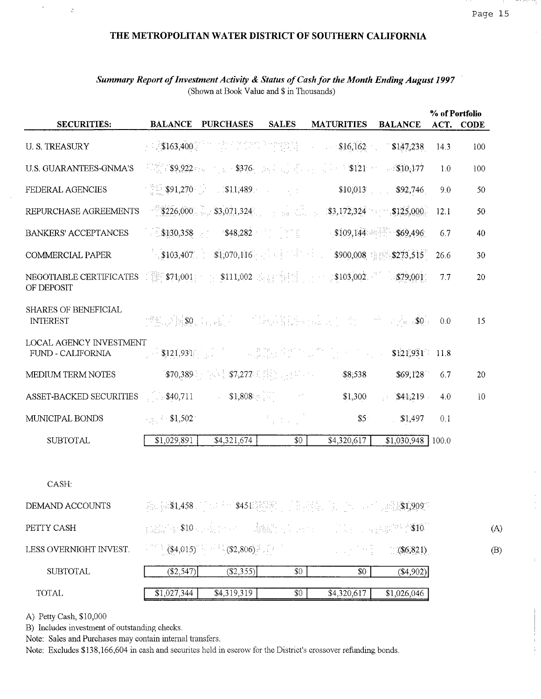$\frac{1}{2}$ 

### THE METROPOLITAN WATER DISTRICT OF SOUTHERN CALIFORNIA

| <b>SECURITIES:</b>                                  |                        |                                                                                                   |                                                     |                                                                                                                                                                                                                                                                                                                       |                         |      | % of Portfolio |
|-----------------------------------------------------|------------------------|---------------------------------------------------------------------------------------------------|-----------------------------------------------------|-----------------------------------------------------------------------------------------------------------------------------------------------------------------------------------------------------------------------------------------------------------------------------------------------------------------------|-------------------------|------|----------------|
|                                                     | <b>BALANCE</b>         | <b>PURCHASES</b>                                                                                  | <b>SALES</b>                                        | <b>MATURITIES</b>                                                                                                                                                                                                                                                                                                     | <b>BALANCE</b>          |      | ACT. CODE      |
| <b>U.S. TREASURY</b>                                |                        |                                                                                                   |                                                     | $\frac{1}{2}$ $\frac{1}{3}$ $\frac{1}{400}$ $\frac{1}{2}$ $\frac{1}{2}$ $\frac{1}{2}$ $\frac{1}{2}$ $\frac{1}{2}$ $\frac{1}{2}$ $\frac{1}{2}$ $\frac{1}{2}$ $\frac{1}{2}$ $\frac{1}{2}$ $\frac{1}{2}$ $\frac{1}{2}$ $\frac{1}{2}$ $\frac{1}{2}$ $\frac{1}{2}$ $\frac{1}{2}$ $\frac{1}{2}$ $\frac{1}{2}$ $\frac{1}{2}$ |                         | 14.3 | 100            |
| <b>U.S. GUARANTEES-GNMA'S</b>                       |                        |                                                                                                   |                                                     | $\frac{1}{2}$ \$9,922 and $\frac{1}{2}$ \$376. And $\frac{1}{2}$ is a $\frac{1}{2}$ \$121 and \$10,177                                                                                                                                                                                                                |                         | 1.0  | 100            |
| FEDERAL AGENCIES                                    |                        | <b>891,270</b> 811,489                                                                            |                                                     | \$10,013                                                                                                                                                                                                                                                                                                              | \$92,746                | 9.0  | 50             |
| REPURCHASE AGREEMENTS                               |                        |                                                                                                   |                                                     | $$226,000$ $$3,071,324$ $$3,071,324$ $$3,172,324$ $$125,000$                                                                                                                                                                                                                                                          |                         | 12.1 | 50             |
| BANKERS' ACCEPTANCES                                |                        |                                                                                                   |                                                     | $$130,358$ $$48,282$ $$109,144$ $$69,496$                                                                                                                                                                                                                                                                             |                         | 6.7  | 40             |
| COMMERCIAL PAPER                                    |                        |                                                                                                   |                                                     | $\frac{1}{2}$ \$103,407. \$1,070,116 $\frac{1}{2}$ \$1.070,116 $\frac{1}{2}$ \$900,008 \$1,890,008 \$1,8273,515                                                                                                                                                                                                       |                         | 26.6 | 30             |
| NEGOTIABLE CERTIFICATES<br>OF DEPOSIT               |                        |                                                                                                   |                                                     | $\frac{1}{2}$ \$74,001 = \$111,002 = $\frac{1}{2}$ = $\frac{1}{2}$ = $\frac{1}{2}$ \$103,002 = $\frac{1}{2}$ = \$79,001                                                                                                                                                                                               |                         | 7.7  | 20             |
| <b>SHARES OF BENEFICIAL</b><br><b>INTEREST</b>      |                        |                                                                                                   |                                                     | "我们看到我们的话,你们就会把我们的人,你们一些小孩。\$0。                                                                                                                                                                                                                                                                                       |                         | 0.0  | 15             |
| <b>LOCAL AGENCY INVESTMENT</b><br>FUND - CALIFORNIA |                        |                                                                                                   |                                                     |                                                                                                                                                                                                                                                                                                                       | $$121,931$ 11.8         |      |                |
| MEDIUM TERM NOTES                                   |                        | $$70,389$ and $$7,277$ is in the state $$7,277$ is in the state $$7,277$ is in the state $$7,277$ |                                                     | \$8,538                                                                                                                                                                                                                                                                                                               | \$69,128                | 6.7  | 20             |
| ASSET-BACKED SECURITIES                             | $\frac{1}{2}$ \$40,711 | $$1,808$ and $$1,808$                                                                             |                                                     | \$1,300                                                                                                                                                                                                                                                                                                               | \$41,219<br>$\sim 10^6$ | 4.0  | 10             |
| MUNICIPAL BONDS                                     | $\sim 1.502$           |                                                                                                   | $\mathcal{F}_1$ , $\mathcal{F}_2$ , $\mathcal{F}_3$ | \$5 <sup>2</sup>                                                                                                                                                                                                                                                                                                      | \$1,497                 | 0.1  |                |
| <b>SUBTOTAL</b>                                     | \$1,029,891            | \$4,321,674                                                                                       | \$0                                                 | \$4,320,617                                                                                                                                                                                                                                                                                                           | $$1,030,948$   100.0    |      |                |
|                                                     |                        |                                                                                                   |                                                     |                                                                                                                                                                                                                                                                                                                       |                         |      |                |
| CASH:                                               |                        |                                                                                                   |                                                     |                                                                                                                                                                                                                                                                                                                       |                         |      |                |
| DEMAND ACCOUNTS                                     |                        |                                                                                                   |                                                     | A. (431,458 . ) 14 30 \$451 \$\$\$\$\$   15 . Health 11 . John And Lands 1909.                                                                                                                                                                                                                                        |                         |      |                |
| PETTY CASH                                          |                        |                                                                                                   |                                                     | addition \$10 succession of the hand to the control of the consequence of \$10.                                                                                                                                                                                                                                       |                         |      | (A)            |
| LESS OVERNIGHT INVEST.                              |                        | $\frac{1}{2}$ (\$4,015) <sup>4</sup> $\frac{1}{2}$ (\$2,806) <sup>2</sup> (\$2                    |                                                     | 1013년 3월                                                                                                                                                                                                                                                                                                              | $$(\$6,821)$            |      | (B)            |
| <b>SUBTOTAL</b>                                     | (\$2,547)              | $(\$2,355)$                                                                                       | \$0                                                 | \$0                                                                                                                                                                                                                                                                                                                   | ( \$4,902)              |      |                |
| <b>TOTAL</b>                                        | \$1,027,344            | \$4,319,319                                                                                       | \$0                                                 | \$4,320,617                                                                                                                                                                                                                                                                                                           | \$1,026,046             |      |                |

## Summary Report of Investment Activity & Status of Cash for the Month Ending August 1997 (Shown at Book Value and \$ in Thousands)

A) Petty Cash, \$10,000

 $\bar{\phantom{a}}$ 

 $\ddot{\zeta}$ 

B) Includes investment of outstanding checks.

Note: Sales and Purchases may contain internal transfers.

Note: Excludes \$138,166,604 in cash and securites held in escrow for the District's crossover refunding bonds.